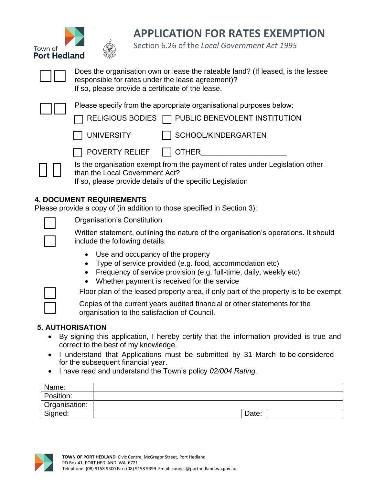



**APPLICATION FOR RATES EXEMPTION**

Section 6.26 of the *Local Government Act 1995*



 $\square\square$ 

Does the organisation own or lease the rateable land? (If leased, is the lessee responsible for rates under the lease agreement)? If so, please provide a certificate of the lease.

Please specify from the appropriate organisational purposes below:

RELIGIOUS BODIES PUBLIC BENEVOLENT INSTITUTION  $\Box$ 



SCHOOL/KINDERGARTEN

POVERTY RELIEF OTHER\_\_\_\_\_\_\_\_\_\_\_\_\_\_\_\_\_\_\_\_\_  $\Box$  $\Box$ 

Is the organisation exempt from the payment of rates under Legislation other than the Local Government Act?

If so, please provide details of the specific Legislation

## **4. DOCUMENT REQUIREMENTS**

Please provide a copy of (in addition to those specified in Section 3):



Organisation's Constitution

Written statement, outlining the nature of the organisation's operations. It should include the following details:

- Use and occupancy of the property
- Type of service provided (e.g. food, accommodation etc)
- Frequency of service provision (e.g. full-time, daily, weekly etc)
- Whether payment is received for the service

Floor plan of the leased property area, if only part of the property is to be exempt

Copies of the current years audited financial or other statements for the organisation to the satisfaction of Council.

## **5. AUTHORISATION**

- By signing this application, I hereby certify that the information provided is true and correct to the best of my knowledge.
- I understand that Applications must be submitted by 31 March to be considered for the subsequent financial year.
- I have read and understand the Town's policy *02/004 Rating.*

| Name:         |       |
|---------------|-------|
| Position:     |       |
| Organisation: |       |
| Signed:       | Date: |